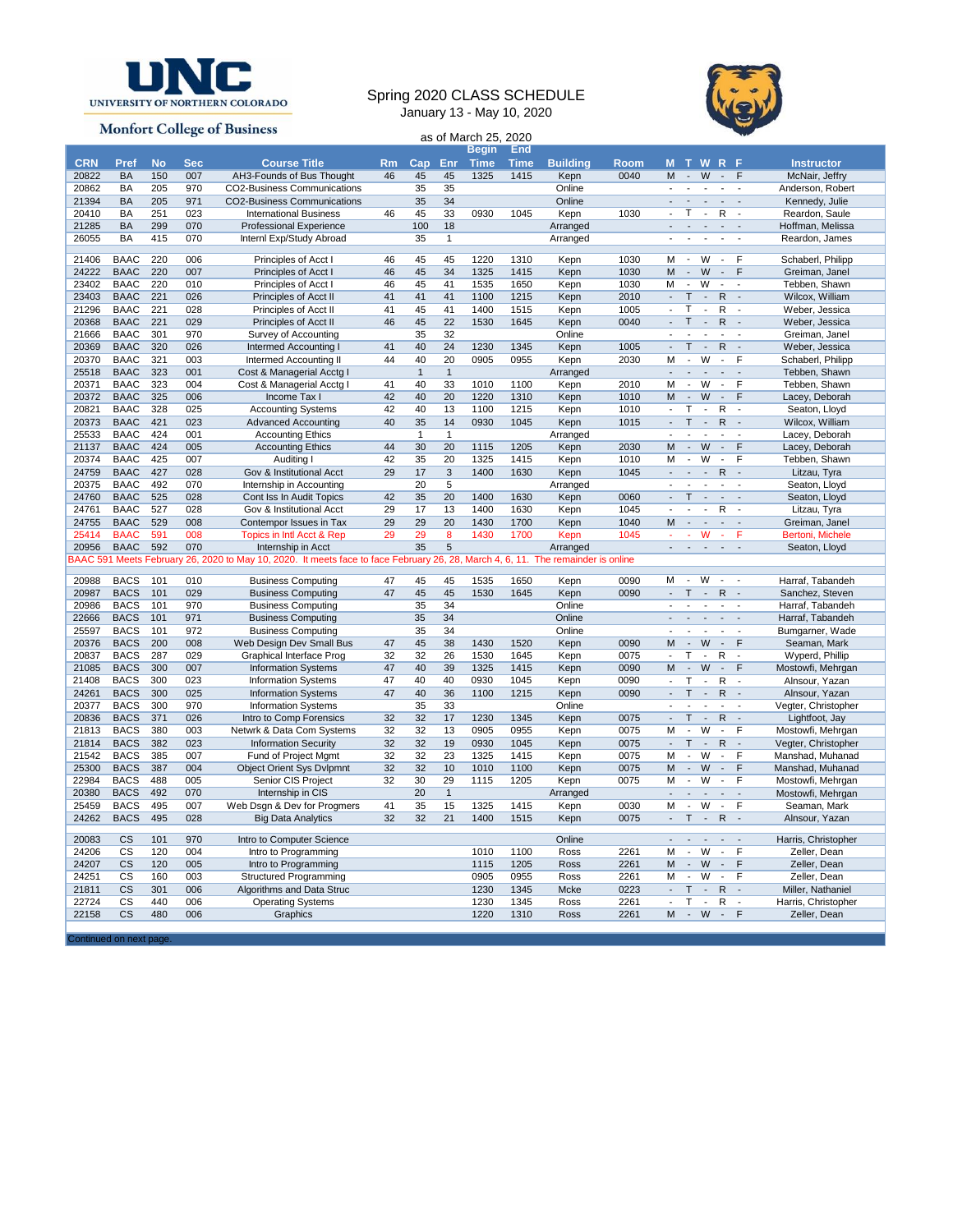

## Spring 2020 CLASS SCHEDULE January 13 - May 10, 2020



| <b>Monfort College of Business</b> |                            |                  |                   |                                                                                          |          |               |                           |                     |                     |                                         |                     |                             |                                       |                                  |                                              |                                                      |                                        |
|------------------------------------|----------------------------|------------------|-------------------|------------------------------------------------------------------------------------------|----------|---------------|---------------------------|---------------------|---------------------|-----------------------------------------|---------------------|-----------------------------|---------------------------------------|----------------------------------|----------------------------------------------|------------------------------------------------------|----------------------------------------|
| as of March 25, 2020               |                            |                  |                   |                                                                                          |          |               |                           |                     |                     |                                         |                     |                             |                                       |                                  |                                              |                                                      |                                        |
|                                    |                            |                  |                   |                                                                                          |          |               |                           | <b>Begin</b>        | <b>End</b>          |                                         |                     |                             |                                       |                                  |                                              |                                                      |                                        |
| <b>CRN</b><br>20822                | Pref<br>BA                 | <b>No</b><br>150 | <b>Sec</b><br>007 | <b>Course Title</b><br>AH3-Founds of Bus Thought                                         | Rm<br>46 | Cap Enr<br>45 | 45                        | <b>Time</b><br>1325 | <b>Time</b><br>1415 | <b>Building</b><br>Kepn                 | <b>Room</b><br>0040 | M                           | $\sim$                                | W                                | $\sim$                                       | <b>MTWRF</b><br>F                                    | <b>Instructor</b><br>McNair, Jeffry    |
| 20862                              | BA                         | 205              | 970               | CO2-Business Communications                                                              |          | 35            | 35                        |                     |                     | Online                                  |                     | $\overline{\phantom{a}}$    | $\mathbf{r}$                          | $\overline{a}$                   | $\overline{\phantom{a}}$                     | $\sim$                                               | Anderson, Robert                       |
| 21394                              | BA                         | 205              | 971               | <b>CO2-Business Communications</b>                                                       |          | 35            | 34                        |                     |                     | Online                                  |                     | $\mathbf{r}$                | $\overline{\phantom{a}}$              | $\mathcal{L}_{\mathcal{A}}$      | $\overline{\phantom{a}}$                     | $\sim$                                               | Kennedy, Julie                         |
| 20410                              | BA                         | 251              | 023               | <b>International Business</b>                                                            | 46       | 45            | 33                        | 0930                | 1045                | Kepn                                    | 1030                | $\overline{a}$              | $\overline{\mathsf{T}}$               | $\sim$                           | $\overline{R}$                               | $\overline{\phantom{a}}$                             | Reardon, Saule                         |
| 21285                              | <b>BA</b>                  | 299              | 070               | Professional Experience                                                                  |          | 100           | 18                        |                     |                     | Arranged                                |                     |                             | $\overline{a}$                        | $\overline{\phantom{a}}$         | $\overline{a}$                               |                                                      | Hoffman, Melissa                       |
| 26055                              | BA                         | 415              | 070               | Internl Exp/Study Abroad                                                                 |          | 35            | $\mathbf{1}$              |                     |                     | Arranged                                |                     | $\overline{\phantom{a}}$    | $\blacksquare$                        | $\overline{\phantom{a}}$         | $\overline{\phantom{a}}$                     | $\overline{\phantom{a}}$                             | Reardon, James                         |
|                                    |                            |                  |                   |                                                                                          |          |               |                           |                     |                     |                                         |                     |                             |                                       |                                  |                                              |                                                      |                                        |
| 21406                              | <b>BAAC</b>                | 220              | 006               | Principles of Acct I                                                                     | 46       | 45            | 45                        | 1220                | 1310                | Kepn                                    | 1030                | М                           | $\blacksquare$                        | W                                | $\mathcal{L}$                                | F                                                    | Schaberl, Philipp                      |
| 24222                              | <b>BAAC</b>                | 220              | 007               | Principles of Acct I                                                                     | 46       | 45            | 34                        | 1325                | 1415                | Kepn                                    | 1030                | M                           | $\mathcal{L}_{\mathcal{A}}$           | W                                | $\mathcal{L}_{\mathcal{A}}$                  | F                                                    | Greiman, Janel                         |
| 23402<br>23403                     | <b>BAAC</b><br><b>BAAC</b> | 220<br>221       | 010<br>026        | Principles of Acct I<br>Principles of Acct II                                            | 46<br>41 | 45<br>41      | 41<br>41                  | 1535<br>1100        | 1650<br>1215        | Kepn                                    | 1030<br>2010        | M<br>$\overline{a}$         | $\blacksquare$<br>T.                  | W<br>$\mathcal{L}_{\mathcal{A}}$ | $\overline{\phantom{a}}$<br>${\sf R}$        | $\overline{\phantom{a}}$<br>$\overline{\phantom{a}}$ | Tebben, Shawn<br>Wilcox, William       |
| 21296                              | <b>BAAC</b>                | 221              | 028               | Principles of Acct II                                                                    | 41       | 45            | 41                        | 1400                | 1515                | Kepn<br>Kepn                            | 1005                | $\overline{\phantom{a}}$    | т                                     | $\overline{a}$                   | R                                            | $\overline{\phantom{a}}$                             | Weber, Jessica                         |
| 20368                              | <b>BAAC</b>                | 221              | 029               | Principles of Acct II                                                                    | 46       | 45            | 22                        | 1530                | 1645                | Kepn                                    | 0040                | $\overline{a}$              | T                                     | $\mathbb{Z}$                     | $\mathsf{R}$                                 | $\sim$                                               | Weber, Jessica                         |
| 21666                              | <b>BAAC</b>                | 301              | 970               | Survey of Accounting                                                                     |          | 35            | 32                        |                     |                     | Online                                  |                     |                             | $\sim$                                | $\overline{\phantom{a}}$         | $\overline{\phantom{a}}$                     | $\blacksquare$                                       | Greiman, Janel                         |
| 20369                              | <b>BAAC</b>                | 320              | 026               | Intermed Accounting I                                                                    | 41       | 40            | 24                        | 1230                | 1345                | Kepn                                    | 1005                | $\overline{\phantom{a}}$    | T.                                    | $\mathcal{L}_{\mathcal{A}}$      | $\mathsf{R}$                                 | $\sim$                                               | Weber, Jessica                         |
| 20370                              | <b>BAAC</b>                | 321              | 003               | Intermed Accounting II                                                                   | 44       | 40            | 20                        | 0905                | 0955                | Kepn                                    | 2030                | М                           | $\sim$                                | W                                | $\blacksquare$                               | F                                                    | Schaberl, Philipp                      |
| 25518                              | <b>BAAC</b>                | 323              | 001               | Cost & Managerial Acctg I                                                                |          | $\mathbf{1}$  | $\mathbf{1}$              |                     |                     | Arranged                                |                     | $\overline{a}$              |                                       | ÷,                               |                                              | $\overline{\phantom{a}}$                             | Tebben, Shawn                          |
| 20371                              | <b>BAAC</b>                | 323              | 004               | Cost & Managerial Acctg I                                                                | 41       | 40            | 33                        | 1010                | 1100                | Kepn                                    | 2010                | М                           | $\sim$                                | W                                | $\overline{\phantom{a}}$                     | F                                                    | Tebben, Shawn                          |
| 20372                              | <b>BAAC</b>                | 325              | 006               | Income Tax I                                                                             | 42       | 40            | 20                        | 1220                | 1310                | Kepn                                    | 1010                | M                           | $\mathbb{Z}^2$                        | W                                | $\overline{\phantom{a}}$                     | F                                                    | Lacey, Deborah                         |
| 20821                              | <b>BAAC</b>                | 328              | 025               | <b>Accounting Systems</b>                                                                | 42       | 40            | 13                        | 1100                | 1215                | Kepn                                    | 1010                | $\overline{a}$              | T.                                    | $\sim$                           | R                                            | $\blacksquare$                                       | Seaton, Lloyd                          |
| 20373                              | <b>BAAC</b>                | 421              | 023               | <b>Advanced Accounting</b>                                                               | 40       | 35            | 14                        | 0930                | 1045                | Kepn                                    | 1015                | $\blacksquare$              | T.                                    | $\mathcal{L}$                    | $\mathsf{R}$                                 | $\sim$                                               | Wilcox. William                        |
| 25533                              | <b>BAAC</b>                | 424              | 001               | <b>Accounting Ethics</b>                                                                 |          | $\mathbf{1}$  | $\mathbf{1}$              |                     |                     | Arranged                                |                     | $\blacksquare$              | $\sim$                                | $\sim$                           | $\sim$                                       | $\sim$                                               | Lacey, Deborah                         |
| 21137                              | <b>BAAC</b>                | 424              | 005               | <b>Accounting Ethics</b>                                                                 | 44       | 30            | 20                        | 1115                | 1205                | Kepn                                    | 2030                | M                           | $\mathbb{Z}^+$                        | W                                | $\Box$                                       | F                                                    | Lacey, Deborah                         |
| 20374                              | <b>BAAC</b>                | 425              | 007               | Auditing I                                                                               | 42       | 35            | 20                        | 1325                | 1415                | Kepn                                    | 1010                | M                           | $\blacksquare$                        | W                                | $\overline{\phantom{a}}$                     | F                                                    | Tebben, Shawn                          |
| 24759                              | <b>BAAC</b>                | 427              | 028               | Gov & Institutional Acct                                                                 | 29       | 17            | $\ensuremath{\mathsf{3}}$ | 1400                | 1630                | Kepn                                    | 1045                |                             | $\sim$                                | $\overline{\phantom{a}}$         | $\mathsf{R}$                                 | $\overline{\phantom{a}}$                             | Litzau, Tyra                           |
| 20375                              | <b>BAAC</b>                | 492              | 070               | Internship in Accounting                                                                 |          | 20            | 5                         |                     |                     | Arranged                                |                     |                             | $\sim$                                | $\sim$                           | $\overline{a}$                               | $\overline{\phantom{a}}$                             | Seaton, Lloyd                          |
| 24760                              | <b>BAAC</b>                | 525              | 028               | Cont Iss In Audit Topics                                                                 | 42       | 35            | 20                        | 1400                | 1630                | Kepn                                    | 0060                | $\sim$                      | T                                     | $\sim$                           | $\overline{\phantom{a}}$                     | $\overline{\phantom{a}}$                             | Seaton, Lloyd                          |
| 24761                              | <b>BAAC</b>                | 527              | 028               | Gov & Institutional Acct                                                                 | 29       | 17            | 13                        | 1400                | 1630                | Kepn                                    | 1045                | $\sim$                      | $\overline{a}$                        | $\mathcal{L}$                    | R                                            | $\sim$                                               | Litzau, Tyra                           |
| 24755                              | <b>BAAC</b>                | 529              | 008               | Contempor Issues in Tax                                                                  | 29       | 29            | 20                        | 1430                | 1700                | Kepn                                    | 1040                | м                           | $\blacksquare$                        | $\overline{\phantom{a}}$         | $\overline{\phantom{a}}$                     |                                                      | Greiman, Janel                         |
| 25414                              | <b>BAAC</b>                | 591              | 008               | Topics in Intl Acct & Rep                                                                | 29       | 29            | 8                         | 1430                | 1700                | Kepn                                    | 1045                | $\omega$                    | $\sim$                                | W                                | $\omega$                                     | F                                                    | Bertoni, Michele                       |
| 20956                              | <b>BAAC</b>                | 592              | 070               | Internship in Acct                                                                       |          | 35            | 5                         |                     |                     | Arranged                                |                     | $\mathbb{Z}^2$              | $\sim$                                | $\mathcal{L}_{\mathcal{A}}$      | $\sim$                                       |                                                      | Seaton, Lloyd                          |
|                                    |                            |                  |                   | 3AAC 591 Meets February 26, 2020 to May 10, 2020. It meets face to face February 26, 28, |          |               |                           |                     |                     | March 4, 6, 11. The remainder is online |                     |                             |                                       |                                  |                                              |                                                      |                                        |
| 20988                              | <b>BACS</b>                | 101              | 010               | <b>Business Computing</b>                                                                | 47       | 45            | 45                        | 1535                | 1650                | Kepn                                    | 0090                | M                           | $\overline{\phantom{a}}$              | W                                | $\overline{\phantom{a}}$                     |                                                      | Harraf, Tabandeh                       |
| 20987                              | <b>BACS</b>                | 101              | 029               | <b>Business Computing</b>                                                                | 47       | 45            | 45                        | 1530                | 1645                | Kepn                                    | 0090                |                             | T                                     | $\mathcal{L}$                    | $\mathsf{R}$                                 | $\overline{\phantom{a}}$                             | Sanchez, Steven                        |
| 20986                              | <b>BACS</b>                | 101              | 970               | <b>Business Computing</b>                                                                |          | 35            | 34                        |                     |                     | Online                                  |                     | $\mathbf{r}$                | $\sim$                                | $\sim$                           | $\sim$                                       |                                                      | Harraf, Tabandeh                       |
| 22666                              | <b>BACS</b>                | 101              | 971               | <b>Business Computing</b>                                                                |          | 35            | 34                        |                     |                     | Online                                  |                     |                             | $\sim$                                | $\sim$                           | ÷.                                           | $\sim$                                               | Harraf, Tabandeh                       |
| 25597                              | <b>BACS</b>                | 101              | 972               | <b>Business Computing</b>                                                                |          | 35            | 34                        |                     |                     | Online                                  |                     | $\overline{a}$              |                                       | $\overline{a}$                   | $\overline{a}$                               | $\sim$                                               | Bumgarner, Wade                        |
| 20376                              | <b>BACS</b>                | 200              | 008               | Web Design Dev Small Bus                                                                 | 47       | 45            | 38                        | 1430                | 1520                | Kepn                                    | 0090                | M                           | $\mathbb{L}$                          | W                                | $\mathbb{L}$                                 | F                                                    | Seaman, Mark                           |
| 20837                              | <b>BACS</b>                | 287              | 029               | <b>Graphical Interface Prog</b>                                                          | 32       | 32            | 26                        | 1530                | 1645                | Kepn                                    | 0075                | $\blacksquare$              | T.                                    | $\sim$                           | R                                            | $\overline{\phantom{a}}$                             | Wyperd, Phillip                        |
| 21085                              | <b>BACS</b>                | 300              | 007               | <b>Information Systems</b>                                                               | 47       | 40            | 39                        | 1325                | 1415                | Kepn                                    | 0090                | M                           | $\mathbb{Z}^2$                        | W                                | $\mathcal{L}$                                | F                                                    | Mostowfi, Mehrgan                      |
| 21408                              | <b>BACS</b>                | 300              | 023               | <b>Information Systems</b>                                                               | 47       | 40            | 40                        | 0930                | 1045                | Kepn                                    | 0090                | $\blacksquare$              | T.                                    | $\sim$                           | R                                            | $\overline{\phantom{a}}$                             | Alnsour, Yazan                         |
| 24261                              | <b>BACS</b>                | 300              | 025               | <b>Information Systems</b>                                                               | 47       | 40            | 36                        | 1100                | 1215                | Kepn                                    | 0090                | $\mathcal{L}^{\mathcal{A}}$ | T                                     | $\sim$                           | $\mathsf{R}$                                 | $\sim$                                               | Alnsour, Yazan                         |
| 20377                              | <b>BACS</b>                | 300              | 970               | <b>Information Systems</b>                                                               |          | 35            | 33                        |                     |                     | Online                                  |                     |                             | $\sim$                                | $\sim$                           | $\overline{\phantom{a}}$                     | $\overline{\phantom{a}}$                             | Vegter, Christopher                    |
| 20836                              | <b>BACS</b>                | 371              | 026               | Intro to Comp Forensics                                                                  | 32       | 32            | 17                        | 1230                | 1345                | Kepn                                    | 0075                | $\sim$                      | Τ                                     | $\overline{\phantom{a}}$         | $\mathsf{R}$                                 | $\sim$                                               | Lightfoot, Jay                         |
| 21813                              | <b>BACS</b>                | 380              | 003               | Netwrk & Data Com Systems                                                                | 32       | 32            | 13                        | 0905                | 0955                | Kepn                                    | 0075                | М                           | $\overline{\phantom{a}}$              | W                                | $\blacksquare$                               | F                                                    | Mostowfi, Mehrgan                      |
| 21814                              | <b>BACS</b>                | 382              | 023               | <b>Information Security</b>                                                              | 32       | 32            | 19                        | 0930                | 1045                | Kepn                                    | 0075                | $\blacksquare$              | T                                     | $\overline{\phantom{a}}$         | $\mathsf{R}$                                 | $\overline{\phantom{a}}$                             | Vegter, Christopher                    |
| 21542                              | <b>BACS</b>                | 385              | 007               | <b>Fund of Project Mgmt</b>                                                              | 32       | 32            | 23                        | 1325                | 1415                | Kepn                                    | 0075                | М                           | $\sim$                                | W                                | $\mathcal{L}_{\mathcal{A}}$                  | F                                                    | Manshad, Muhanad                       |
| 25300<br>22984                     | <b>BACS</b><br><b>BACS</b> | 387<br>488       | 004<br>005        | <b>Object Orient Sys Dvlpmnt</b><br>Senior CIS Project                                   | 32<br>32 | 32<br>30      | 10<br>29                  | 1010<br>1115        | 1100                | Kepn<br>Kepn                            | 0075<br>0075        | M                           | $\sim$<br>$\mathcal{L}_{\mathcal{A}}$ | W<br>W                           | $\mathcal{A}$<br>$\mathcal{L}_{\mathcal{A}}$ | F<br>F                                               | Manshad, Muhanad                       |
| 20380                              | <b>BACS</b>                | 492              | 070               | Internship in CIS                                                                        |          | 20            | $\mathbf{1}$              |                     | 1205                | Arranged                                |                     | М<br>$\mathbf{r}$           | $\blacksquare$                        | $\overline{\phantom{a}}$         | $\overline{\phantom{a}}$                     | $\overline{\phantom{a}}$                             | Mostowfi, Mehrgan<br>Mostowfi, Mehrgan |
| 25459                              | <b>BACS</b>                | 495              | 007               | Web Dsgn & Dev for Progmers                                                              | 41       | 35            | 15                        | 1325                | 1415                | Kepn                                    | 0030                | М                           | $\overline{a}$                        | W                                | $\sim$                                       | F                                                    | Seaman, Mark                           |
| 24262                              | <b>BACS</b>                | 495              | 028               | <b>Big Data Analytics</b>                                                                | 32       | 32            | 21                        | 1400                | 1515                | Kepn                                    | 0075                | $\overline{a}$              | T                                     | $\overline{\phantom{a}}$         | $\mathsf{R}$                                 | $\overline{\phantom{a}}$                             | Alnsour, Yazan                         |
|                                    |                            |                  |                   |                                                                                          |          |               |                           |                     |                     |                                         |                     |                             |                                       |                                  |                                              |                                                      |                                        |
| 20083                              | CS                         | 101              | 970               | Intro to Computer Science                                                                |          |               |                           |                     |                     | Online                                  |                     |                             |                                       | $\overline{a}$                   | $\overline{\phantom{a}}$                     |                                                      | Harris, Christopher                    |
| 24206                              | CS                         | 120              | 004               | Intro to Programming                                                                     |          |               |                           | 1010                | 1100                | Ross                                    | 2261                | м                           | $\mathbb{L}$                          | W                                | $\mathbb{L}$                                 | F                                                    | Zeller, Dean                           |
| 24207                              | <b>CS</b>                  | 120              | 005               | Intro to Programming                                                                     |          |               |                           | 1115                | 1205                | Ross                                    | 2261                | M                           | $\sim$                                | W                                | $\mathcal{L}_{\mathcal{A}}$                  | F                                                    | Zeller, Dean                           |
| 24251                              | СS                         | 160              | 003               | <b>Structured Programming</b>                                                            |          |               |                           | 0905                | 0955                | Ross                                    | 2261                | М                           | $\blacksquare$                        | W                                | $\blacksquare$                               | F                                                    | Zeller, Dean                           |
| 21811                              | <b>CS</b>                  | 301              | 006               | Algorithms and Data Struc                                                                |          |               |                           | 1230                | 1345                | Mcke                                    | 0223                |                             | Τ                                     | $\overline{\phantom{a}}$         | $\mathsf{R}$                                 | $\Box$                                               | Miller, Nathaniel                      |
| 22724                              | CS                         | 440              | 006               | <b>Operating Systems</b>                                                                 |          |               |                           | 1230                | 1345                | Ross                                    | 2261                |                             | T                                     | $\overline{\phantom{a}}$         | R                                            | $\overline{\phantom{a}}$                             | Harris, Christopher                    |
| 22158                              | <b>CS</b>                  | 480              | 006               | Graphics                                                                                 |          |               |                           | 1220                | 1310                | Ross                                    | 2261                | M                           | $\sim$                                | W                                | $\mathcal{L}$                                | F                                                    | Zeller, Dean                           |

Continued on next page.